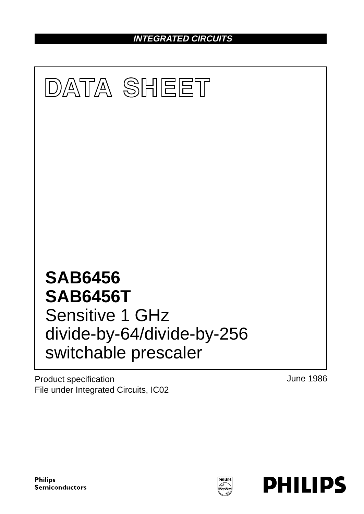**INTEGRATED CIRCUITS**



Product specification File under Integrated Circuits, IC02 June 1986

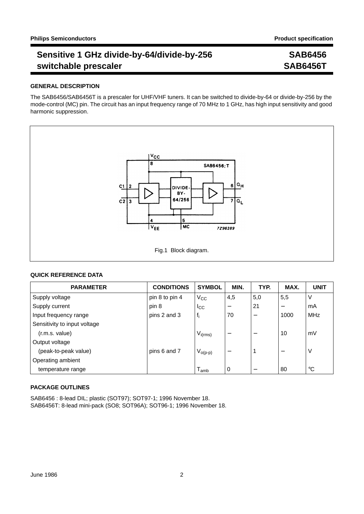**SAB6456 SAB6456T**

# **Sensitive 1 GHz divide-by-64/divide-by-256 switchable prescaler**

## **GENERAL DESCRIPTION**

The SAB6456/SAB6456T is a prescaler for UHF/VHF tuners. It can be switched to divide-by-64 or divide-by-256 by the mode-control (MC) pin. The circuit has an input frequency range of 70 MHz to 1 GHz, has high input sensitivity and good harmonic suppression.



## **QUICK REFERENCE DATA**

| <b>PARAMETER</b>             | <b>CONDITIONS</b> | <b>SYMBOL</b> | MIN.                     | TYP. | MAX.                     | <b>UNIT</b> |
|------------------------------|-------------------|---------------|--------------------------|------|--------------------------|-------------|
| Supply voltage               | pin 8 to pin 4    | $V_{CC}$      | 4,5                      | 5,0  | 5,5                      | V           |
| Supply current               | pin 8             | <b>I</b> cc   |                          | 21   | $\overline{\phantom{0}}$ | mA          |
| Input frequency range        | pins 2 and 3      | $f_i$         | 70                       |      | 1000                     | <b>MHz</b>  |
| Sensitivity to input voltage |                   |               |                          |      |                          |             |
| (r.m.s. value)               |                   | $V_{i(rms)}$  | $\overline{\phantom{m}}$ |      | 10                       | mV          |
| Output voltage               |                   |               |                          |      |                          |             |
| (peak-to-peak value)         | pins 6 and 7      | $V_{o(p-p)}$  | $\qquad \qquad$          | 1    | $\overline{\phantom{0}}$ | ν           |
| Operating ambient            |                   |               |                          |      |                          |             |
| temperature range            |                   | $I_{amb}$     | 0                        |      | 80                       | $^{\circ}C$ |

## **PACKAGE OUTLINES**

SAB6456 : 8-lead DIL; plastic (SOT97); SOT97-1; 1996 November 18. SAB6456T: 8-lead mini-pack (SO8; SOT96A); SOT96-1; 1996 November 18.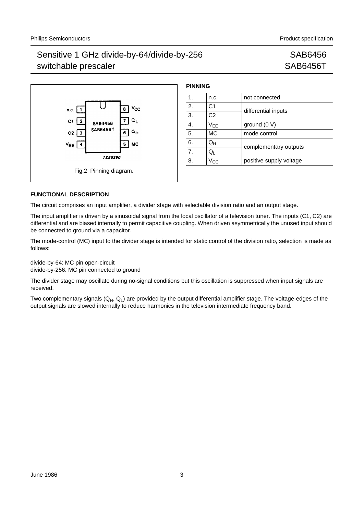

| 1.               | n.c.            | not connected           |  |  |  |
|------------------|-----------------|-------------------------|--|--|--|
| 2.               | C1              |                         |  |  |  |
| 3.               | C <sub>2</sub>  | differential inputs     |  |  |  |
| 4.               | V <sub>EE</sub> | ground (0 V)            |  |  |  |
| 5.               | MC              | mode control            |  |  |  |
| 6.               | Qн              | complementary outputs   |  |  |  |
| $\overline{7}$ . | Qı              |                         |  |  |  |
| 8.               | $\rm V_{CC}$    | positive supply voltage |  |  |  |

## **FUNCTIONAL DESCRIPTION**

The circuit comprises an input amplifier, a divider stage with selectable division ratio and an output stage.

The input amplifier is driven by a sinusoidal signal from the local oscillator of a television tuner. The inputs (C1, C2) are differential and are biased internally to permit capacitive coupling. When driven asymmetrically the unused input should be connected to ground via a capacitor.

**PINNING**

The mode-control (MC) input to the divider stage is intended for static control of the division ratio, selection is made as follows:

divide-by-64: MC pin open-circuit divide-by-256: MC pin connected to ground

The divider stage may oscillate during no-signal conditions but this oscillation is suppressed when input signals are received.

Two complementary signals  $(Q_H, Q_L)$  are provided by the output differential amplifier stage. The voltage-edges of the output signals are slowed internally to reduce harmonics in the television intermediate frequency band.

## SAB6456 SAB6456T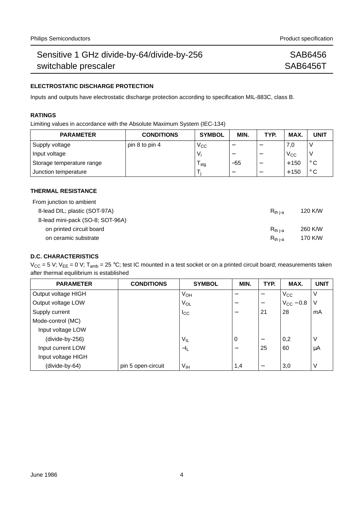# SAB6456 SAB6456T

## **ELECTROSTATIC DISCHARGE PROTECTION**

Inputs and outputs have electrostatic discharge protection according to specification MIL-883C, class B.

## **RATINGS**

Limiting values in accordance with the Absolute Maximum System (IEC-134)

| <b>PARAMETER</b>          | <b>CONDITIONS</b> | <b>SYMBOL</b>    | MIN.  | TYP. | MAX.         | <b>UNIT</b>  |
|---------------------------|-------------------|------------------|-------|------|--------------|--------------|
| Supply voltage            | pin 8 to pin 4    | $V_{\rm CC}$     |       |      | 7,0          |              |
| Input voltage             |                   | V:               |       |      | $V_{\rm CC}$ |              |
| Storage temperature range |                   | <sup>l</sup> sta | $-55$ |      | $+150$       | $^{\circ}$ C |
| Junction temperature      |                   |                  |       |      | $+150$       | $^{\circ}$ C |

## **THERMAL RESISTANCE**

| From junction to ambient         |              |         |
|----------------------------------|--------------|---------|
| 8-lead DIL; plastic (SOT-97A)    | $R_{th i-a}$ | 120 K/W |
| 8-lead mini-pack (SO-8; SOT-96A) |              |         |
| on printed circuit board         | $R_{th i-a}$ | 260 K/W |
| on ceramic substrate             | $R_{th i-a}$ | 170 K/W |
|                                  |              |         |

### **D.C. CHARACTERISTICS**

 $V_{CC}$  = 5 V;  $V_{EE}$  = 0 V;  $T_{amb}$  = 25 °C; test IC mounted in a test socket or on a printed circuit board; measurements taken after thermal equilibrium is established

| <b>PARAMETER</b>    | <b>CONDITIONS</b>  | <b>SYMBOL</b>   | MIN. | TYP.                     | MAX.                  | <b>UNIT</b> |
|---------------------|--------------------|-----------------|------|--------------------------|-----------------------|-------------|
| Output voltage HIGH |                    | $V_{OH}$        |      |                          | $V_{\rm CC}$          | ν           |
| Output voltage LOW  |                    | $V_{OL}$        |      | $\overline{\phantom{m}}$ | $V_{\text{CC}}$ – 0.8 | ν           |
| Supply current      |                    | $I_{\rm CC}$    |      | 21                       | 28                    | mA          |
| Mode-control (MC)   |                    |                 |      |                          |                       |             |
| Input voltage LOW   |                    |                 |      |                          |                       |             |
| (divide-by-256)     |                    | VIL             | 0    | $\overline{\phantom{m}}$ | 0,2                   | ν           |
| Input current LOW   |                    | $-l_L$          |      | 25                       | 60                    | μA          |
| Input voltage HIGH  |                    |                 |      |                          |                       |             |
| (divide-by-64)      | pin 5 open-circuit | V <sub>IH</sub> | 1,4  |                          | 3,0                   | ν           |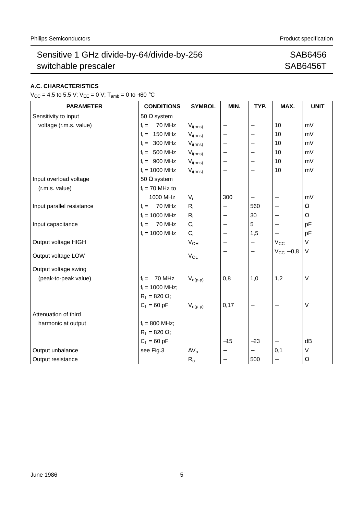# SAB6456 SAB6456T

## **A.C. CHARACTERISTICS**

 $V_{CC} = 4.5$  to 5,5 V;  $V_{EE} = 0$  V;  $T_{amb} = 0$  to +80 °C

| <b>PARAMETER</b>          | <b>CONDITIONS</b>        | <b>SYMBOL</b>                         | MIN.  | TYP.                     | MAX.              | <b>UNIT</b> |
|---------------------------|--------------------------|---------------------------------------|-------|--------------------------|-------------------|-------------|
| Sensitivity to input      | 50 $\Omega$ system       |                                       |       |                          |                   |             |
| voltage (r.m.s. value)    | $f_i =$<br>70 MHz        | $V_{i(rms)}$                          |       |                          | 10                | mV          |
|                           | $f_i = 150 \text{ MHz}$  | $V_{i(rms)}$                          |       |                          | 10                | mV          |
|                           | $f_i = 300 \text{ MHz}$  | $V_{i(rms)}$                          |       |                          | 10                | mV          |
|                           | $f_i = 500 \text{ MHz}$  | $V_{i(rms)}$                          |       |                          | 10                | mV          |
|                           | $f_i = 900 \text{ MHz}$  | $V_{i(rms)}$                          |       |                          | 10                | mV          |
|                           | $f_i = 1000 \text{ MHz}$ | $V_{i(rms)}$                          |       |                          | 10                | mV          |
| Input overload voltage    | 50 $\Omega$ system       |                                       |       |                          |                   |             |
| (r.m.s. value)            | $f_i = 70$ MHz to        |                                       |       |                          |                   |             |
|                           | 1000 MHz                 | $V_i$                                 | 300   |                          |                   | mV          |
| Input parallel resistance | 70 MHz<br>$f_i =$        | $R_i$                                 | —     | 560                      | $\qquad \qquad -$ | $\Omega$    |
|                           | $f_i = 1000 \text{ MHz}$ | $R_i$                                 |       | 30                       |                   | Ω           |
| Input capacitance         | $f_i =$<br>70 MHz        | $C_i$                                 |       | 5                        |                   | pF          |
|                           | $f_i = 1000 \text{ MHz}$ | $C_i$                                 |       | 1,5                      |                   | pF          |
| Output voltage HIGH       |                          | $V_{OH}$                              |       | $\qquad \qquad -$        | $V_{CC}$          | V           |
| Output voltage LOW        |                          | $V_{OL}$                              |       | $\overline{\phantom{0}}$ | $V_{CC} - 0.8$    | V           |
| Output voltage swing      |                          |                                       |       |                          |                   |             |
| (peak-to-peak value)      | 70 MHz<br>$f_i =$        | $V_{o(p-p)}$                          | 0,8   | 1,0                      | 1,2               | V           |
|                           | $f_i = 1000$ MHz;        |                                       |       |                          |                   |             |
|                           | $R_L = 820 \Omega$ ;     |                                       |       |                          |                   |             |
|                           | $C_L = 60 pF$            | $\mathsf{V}_{\mathsf{o}(p\text{-}p)}$ | 0,17  | $\overline{\phantom{0}}$ |                   | $\vee$      |
| Attenuation of third      |                          |                                       |       |                          |                   |             |
| harmonic at output        | $f_i = 800$ MHz;         |                                       |       |                          |                   |             |
|                           | $R_L = 820 \Omega$ ;     |                                       |       |                          |                   |             |
|                           | $C_L = 60 pF$            |                                       | $-15$ | $-23$                    | $\qquad \qquad -$ | dB          |
| Output unbalance          | see Fig.3                | $\Delta V_{\text{o}}$                 |       |                          | 0,1               | V           |
| Output resistance         |                          | $R_0$                                 |       | 500                      | $\qquad \qquad -$ | Ω           |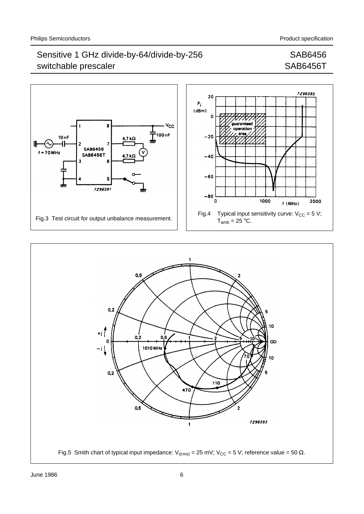### 7Z96292 20  $P_i$  $(dBm)$  $\mathbf 0$ XI XI, guaranteed 8 Vcc operation .<br>100 n F are  $10nF$  $-20$  $4.7 k\Omega$ ᆊ  $\overline{\phantom{a}}$ **SAB6456**  $f = 70 MHz$ SAB6456T  $-40$ 3  $-60$ 5 7296291  $-80$  $\mathbf{o}$ 1000 2000 f (MHz) Fig.3 Test circuit for output unbalance measurement. Fig.4 Typical input sensitivity curve:  $V_{CC} = 5 V$ ;  $T_{amb} = 25 \degree C$ .



SAB6456 SAB6456T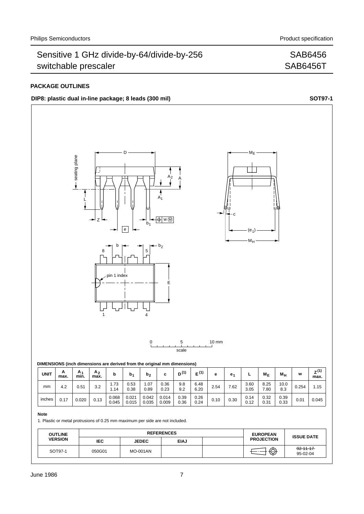SAB6456 SAB6456T

# Sensitive 1 GHz divide-by-64/divide-by-256 switchable prescaler

## **PACKAGE OUTLINES**

## **DIP8:** plastic dual in-line package; 8 leads (300 mil) **SOT97-1 SOT97-1**



| DIMENSIONS (inch dimensions are derived from the original mm dimensions) |  |  |  |  |  |
|--------------------------------------------------------------------------|--|--|--|--|--|
|                                                                          |  |  |  |  |  |

| <b>UNIT</b> | A<br>max. | A۰<br>min. | A <sub>2</sub><br>max. |                | b,             | b,             | u              | $D^{(1)}$    | (1)          | е    | е.   |              | $M_{E}$      | М <sub>Н</sub> | W     | $Z^{(1)}$<br>max. |
|-------------|-----------|------------|------------------------|----------------|----------------|----------------|----------------|--------------|--------------|------|------|--------------|--------------|----------------|-------|-------------------|
| mm          | 4.2       | 0.51       | 3.2                    | . 73<br>.14    | 0.53<br>0.38   | 1.07<br>0.89   | 0.36<br>0.23   | 9.8<br>9.2   | 6.48<br>6.20 | 2.54 | 7.62 | 3.60<br>3.05 | 8.25<br>7.80 | 10.0<br>8.3    | 0.254 | 1.15              |
| inches      | 0.17      | 0.020      | 0.13                   | 0.068<br>0.045 | 0.021<br>0.015 | 0.042<br>0.035 | 0.014<br>0.009 | 0.39<br>0.36 | 0.26<br>0.24 | 0.10 | 0.30 | 0.14<br>0.12 | 0.32<br>0.31 | 0.39<br>0.33   | 0.01  | 0.045             |

### **Note**

1. Plastic or metal protrusions of 0.25 mm maximum per side are not included.

| <b>OUTLINE</b> |        | <b>REFERENCES</b> | <b>EUROPEAN</b> | <b>ISSUE DATE</b> |                   |                             |
|----------------|--------|-------------------|-----------------|-------------------|-------------------|-----------------------------|
| <b>VERSION</b> | IEC    | <b>JEDEC</b>      | <b>EIAJ</b>     |                   | <b>PROJECTION</b> |                             |
| SOT97-1        | 050G01 | <b>MO-001AN</b>   |                 |                   | ⊕                 | $-92 - 11 - 17$<br>95-02-04 |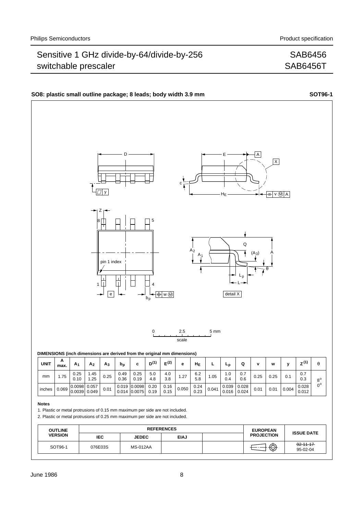# SAB6456 SAB6456T

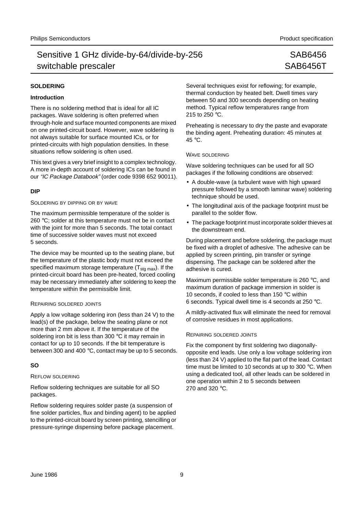# SAB6456 SAB6456T

## **SOLDERING**

## **Introduction**

There is no soldering method that is ideal for all IC packages. Wave soldering is often preferred when through-hole and surface mounted components are mixed on one printed-circuit board. However, wave soldering is not always suitable for surface mounted ICs, or for printed-circuits with high population densities. In these situations reflow soldering is often used.

This text gives a very brief insight to a complex technology. A more in-depth account of soldering ICs can be found in our "IC Package Databook" (order code 9398 652 90011).

### **DIP**

### SOLDERING BY DIPPING OR BY WAVE

The maximum permissible temperature of the solder is 260 °C; solder at this temperature must not be in contact with the joint for more than 5 seconds. The total contact time of successive solder waves must not exceed 5 seconds.

The device may be mounted up to the seating plane, but the temperature of the plastic body must not exceed the specified maximum storage temperature  $(T_{\text{stq max}})$ . If the printed-circuit board has been pre-heated, forced cooling may be necessary immediately after soldering to keep the temperature within the permissible limit.

### REPAIRING SOLDERED JOINTS

Apply a low voltage soldering iron (less than 24 V) to the lead(s) of the package, below the seating plane or not more than 2 mm above it. If the temperature of the soldering iron bit is less than 300 °C it may remain in contact for up to 10 seconds. If the bit temperature is between 300 and 400 °C, contact may be up to 5 seconds.

## **SO**

### REFLOW SOLDERING

Reflow soldering techniques are suitable for all SO packages.

Reflow soldering requires solder paste (a suspension of fine solder particles, flux and binding agent) to be applied to the printed-circuit board by screen printing, stencilling or pressure-syringe dispensing before package placement.

Several techniques exist for reflowing; for example, thermal conduction by heated belt. Dwell times vary between 50 and 300 seconds depending on heating method. Typical reflow temperatures range from 215 to 250 °C.

Preheating is necessary to dry the paste and evaporate the binding agent. Preheating duration: 45 minutes at 45 °C.

### WAVE SOLDERING

Wave soldering techniques can be used for all SO packages if the following conditions are observed:

- A double-wave (a turbulent wave with high upward pressure followed by a smooth laminar wave) soldering technique should be used.
- The longitudinal axis of the package footprint must be parallel to the solder flow.
- The package footprint must incorporate solder thieves at the downstream end.

During placement and before soldering, the package must be fixed with a droplet of adhesive. The adhesive can be applied by screen printing, pin transfer or syringe dispensing. The package can be soldered after the adhesive is cured.

Maximum permissible solder temperature is 260 °C, and maximum duration of package immersion in solder is 10 seconds, if cooled to less than 150 °C within 6 seconds. Typical dwell time is 4 seconds at 250 °C.

A mildly-activated flux will eliminate the need for removal of corrosive residues in most applications.

### REPAIRING SOLDERED JOINTS

Fix the component by first soldering two diagonallyopposite end leads. Use only a low voltage soldering iron (less than 24 V) applied to the flat part of the lead. Contact time must be limited to 10 seconds at up to 300 °C. When using a dedicated tool, all other leads can be soldered in one operation within 2 to 5 seconds between 270 and 320 °C.